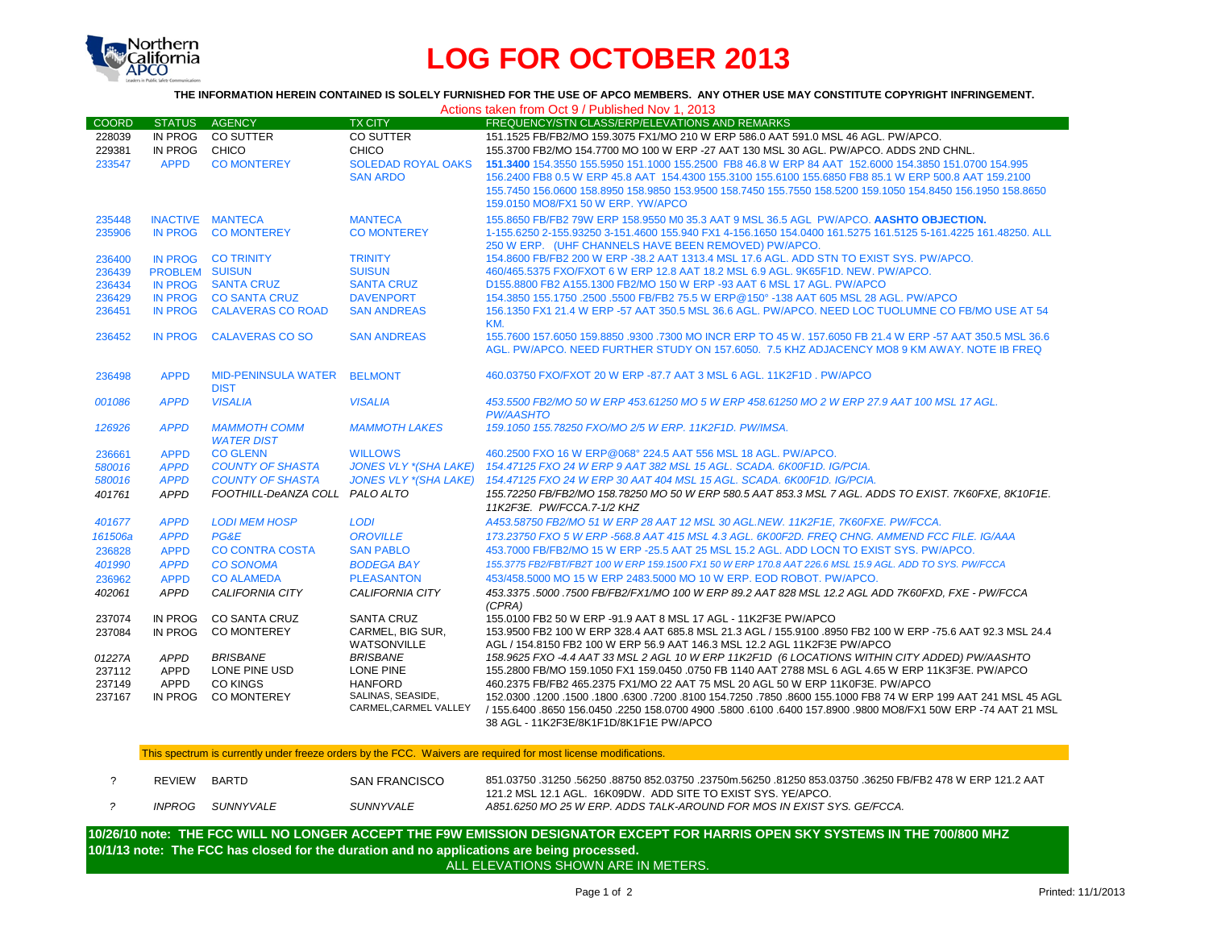

## **LOG FOR OCTOBER 2013**

## **THE INFORMATION HEREIN CONTAINED IS SOLELY FURNISHED FOR THE USE OF APCO MEMBERS. ANY OTHER USE MAY CONSTITUTE COPYRIGHT INFRINGEMENT.**

| <b>COORD</b><br>228039<br>229381<br>233547<br>235448<br>235906<br>236400<br>236439<br>236434<br>236429<br>236451 | <b>STATUS</b><br>IN PROG<br><b>APPD</b><br><b>IN PROG</b><br>PROBLEM SUISUN<br>IN PROG SANTA CRUZ<br><b>IN PROG</b> | AGENCY<br>IN PROG CO SUTTER<br>CHICO<br><b>CO MONTEREY</b><br>INACTIVE MANTECA<br><b>CO MONTEREY</b><br>IN PROG CO TRINITY | <b>TX CITY</b><br><b>CO SUTTER</b><br>CHICO<br><b>SOLEDAD ROYAL OAKS</b><br><b>SAN ARDO</b><br><b>MANTECA</b><br><b>CO MONTEREY</b> | FREQUENCY/STN CLASS/ERP/ELEVATIONS AND REMARKS<br>151.1525 FB/FB2/MO 159.3075 FX1/MO 210 W ERP 586.0 AAT 591.0 MSL 46 AGL. PW/APCO.<br>155.3700 FB2/MO 154.7700 MO 100 W ERP -27 AAT 130 MSL 30 AGL, PW/APCO, ADDS 2ND CHNL,<br>151.3400 154.3550 155.5950 151.1000 155.2500 FB8 46.8 W ERP 84 AAT 152.6000 154.3850 151.0700 154.995<br>156,2400 FB8 0.5 W ERP 45.8 AAT 154,4300 155,3100 155,6100 155,6850 FB8 85.1 W ERP 500.8 AAT 159,2100<br>155.7450 156.0600 158.8950 158.9850 153.9500 158.7450 155.7550 158.5200 159.1050 154.8450 156.1950 158.8650<br>159.0150 MO8/FX1 50 W ERP. YW/APCO<br>155.8650 FB/FB2 79W ERP 158.9550 M0 35.3 AAT 9 MSL 36.5 AGL PW/APCO. AASHTO OBJECTION.<br>1-155.6250 2-155.93250 3-151.4600 155.940 FX1 4-156.1650 154.0400 161.5275 161.5125 5-161.4225 161.48250. ALL |
|------------------------------------------------------------------------------------------------------------------|---------------------------------------------------------------------------------------------------------------------|----------------------------------------------------------------------------------------------------------------------------|-------------------------------------------------------------------------------------------------------------------------------------|----------------------------------------------------------------------------------------------------------------------------------------------------------------------------------------------------------------------------------------------------------------------------------------------------------------------------------------------------------------------------------------------------------------------------------------------------------------------------------------------------------------------------------------------------------------------------------------------------------------------------------------------------------------------------------------------------------------------------------------------------------------------------------------------------------------|
|                                                                                                                  |                                                                                                                     |                                                                                                                            |                                                                                                                                     |                                                                                                                                                                                                                                                                                                                                                                                                                                                                                                                                                                                                                                                                                                                                                                                                                |
|                                                                                                                  |                                                                                                                     |                                                                                                                            |                                                                                                                                     |                                                                                                                                                                                                                                                                                                                                                                                                                                                                                                                                                                                                                                                                                                                                                                                                                |
|                                                                                                                  |                                                                                                                     |                                                                                                                            |                                                                                                                                     |                                                                                                                                                                                                                                                                                                                                                                                                                                                                                                                                                                                                                                                                                                                                                                                                                |
|                                                                                                                  |                                                                                                                     |                                                                                                                            |                                                                                                                                     |                                                                                                                                                                                                                                                                                                                                                                                                                                                                                                                                                                                                                                                                                                                                                                                                                |
|                                                                                                                  |                                                                                                                     |                                                                                                                            |                                                                                                                                     |                                                                                                                                                                                                                                                                                                                                                                                                                                                                                                                                                                                                                                                                                                                                                                                                                |
|                                                                                                                  |                                                                                                                     |                                                                                                                            |                                                                                                                                     |                                                                                                                                                                                                                                                                                                                                                                                                                                                                                                                                                                                                                                                                                                                                                                                                                |
|                                                                                                                  |                                                                                                                     |                                                                                                                            |                                                                                                                                     |                                                                                                                                                                                                                                                                                                                                                                                                                                                                                                                                                                                                                                                                                                                                                                                                                |
|                                                                                                                  |                                                                                                                     |                                                                                                                            |                                                                                                                                     |                                                                                                                                                                                                                                                                                                                                                                                                                                                                                                                                                                                                                                                                                                                                                                                                                |
|                                                                                                                  |                                                                                                                     |                                                                                                                            |                                                                                                                                     |                                                                                                                                                                                                                                                                                                                                                                                                                                                                                                                                                                                                                                                                                                                                                                                                                |
|                                                                                                                  |                                                                                                                     |                                                                                                                            |                                                                                                                                     | 250 W ERP. (UHF CHANNELS HAVE BEEN REMOVED) PW/APCO.                                                                                                                                                                                                                                                                                                                                                                                                                                                                                                                                                                                                                                                                                                                                                           |
|                                                                                                                  |                                                                                                                     |                                                                                                                            | <b>TRINITY</b>                                                                                                                      | 154.8600 FB/FB2 200 W ERP -38.2 AAT 1313.4 MSL 17.6 AGL, ADD STN TO EXIST SYS, PW/APCO,                                                                                                                                                                                                                                                                                                                                                                                                                                                                                                                                                                                                                                                                                                                        |
|                                                                                                                  |                                                                                                                     |                                                                                                                            | <b>SUISUN</b>                                                                                                                       | 460/465.5375 FXO/FXOT 6 W ERP 12.8 AAT 18.2 MSL 6.9 AGL. 9K65F1D. NEW. PW/APCO.                                                                                                                                                                                                                                                                                                                                                                                                                                                                                                                                                                                                                                                                                                                                |
|                                                                                                                  |                                                                                                                     |                                                                                                                            | <b>SANTA CRUZ</b>                                                                                                                   | D155,8800 FB2 A155,1300 FB2/MO 150 W ERP -93 AAT 6 MSL 17 AGL, PW/APCO                                                                                                                                                                                                                                                                                                                                                                                                                                                                                                                                                                                                                                                                                                                                         |
|                                                                                                                  |                                                                                                                     | <b>CO SANTA CRUZ</b>                                                                                                       | <b>DAVENPORT</b>                                                                                                                    | 154.3850 155.1750 .2500 .5500 FB/FB2 75.5 W ERP@150° -138 AAT 605 MSL 28 AGL, PW/APCO                                                                                                                                                                                                                                                                                                                                                                                                                                                                                                                                                                                                                                                                                                                          |
|                                                                                                                  | <b>IN PROG</b>                                                                                                      | <b>CALAVERAS CO ROAD</b>                                                                                                   | <b>SAN ANDREAS</b>                                                                                                                  | 156.1350 FX1 21.4 W ERP -57 AAT 350.5 MSL 36.6 AGL, PW/APCO, NEED LOC TUOLUMNE CO FB/MO USE AT 54                                                                                                                                                                                                                                                                                                                                                                                                                                                                                                                                                                                                                                                                                                              |
|                                                                                                                  | <b>IN PROG</b>                                                                                                      | <b>CALAVERAS CO SO</b>                                                                                                     | <b>SAN ANDREAS</b>                                                                                                                  | KM.                                                                                                                                                                                                                                                                                                                                                                                                                                                                                                                                                                                                                                                                                                                                                                                                            |
| 236452                                                                                                           |                                                                                                                     |                                                                                                                            |                                                                                                                                     | 155.7600 157.6050 159.8850 .9300 .7300 MO INCR ERP TO 45 W. 157.6050 FB 21.4 W ERP -57 AAT 350.5 MSL 36.6<br>AGL, PW/APCO, NEED FURTHER STUDY ON 157,6050, 7.5 KHZ ADJACENCY MO8 9 KM AWAY, NOTE IB FREQ                                                                                                                                                                                                                                                                                                                                                                                                                                                                                                                                                                                                       |
|                                                                                                                  |                                                                                                                     |                                                                                                                            |                                                                                                                                     |                                                                                                                                                                                                                                                                                                                                                                                                                                                                                                                                                                                                                                                                                                                                                                                                                |
| 236498                                                                                                           | <b>APPD</b>                                                                                                         | <b>MID-PENINSULA WATER</b>                                                                                                 | <b>BELMONT</b>                                                                                                                      | 460.03750 FXO/FXOT 20 W ERP -87.7 AAT 3 MSL 6 AGL, 11K2F1D, PW/APCO                                                                                                                                                                                                                                                                                                                                                                                                                                                                                                                                                                                                                                                                                                                                            |
|                                                                                                                  |                                                                                                                     | <b>DIST</b>                                                                                                                |                                                                                                                                     |                                                                                                                                                                                                                                                                                                                                                                                                                                                                                                                                                                                                                                                                                                                                                                                                                |
| 001086                                                                                                           | <b>APPD</b>                                                                                                         | <b>VISALIA</b>                                                                                                             | <b>VISALIA</b>                                                                                                                      | 453,5500 FB2/MO 50 W ERP 453,61250 MO 5 W ERP 458,61250 MO 2 W ERP 27.9 AAT 100 MSL 17 AGL.                                                                                                                                                                                                                                                                                                                                                                                                                                                                                                                                                                                                                                                                                                                    |
|                                                                                                                  |                                                                                                                     |                                                                                                                            |                                                                                                                                     | <b>PW/AASHTO</b>                                                                                                                                                                                                                                                                                                                                                                                                                                                                                                                                                                                                                                                                                                                                                                                               |
| 126926                                                                                                           | <b>APPD</b>                                                                                                         | <b>MAMMOTH COMM</b>                                                                                                        | <b>MAMMOTH LAKES</b>                                                                                                                | 159.1050 155.78250 FXO/MO 2/5 W ERP. 11K2F1D. PW/IMSA.                                                                                                                                                                                                                                                                                                                                                                                                                                                                                                                                                                                                                                                                                                                                                         |
|                                                                                                                  |                                                                                                                     | <b>WATER DIST</b>                                                                                                          |                                                                                                                                     |                                                                                                                                                                                                                                                                                                                                                                                                                                                                                                                                                                                                                                                                                                                                                                                                                |
| 236661                                                                                                           | <b>APPD</b>                                                                                                         | <b>CO GLENN</b>                                                                                                            | <b>WILLOWS</b>                                                                                                                      | 460.2500 FXO 16 W ERP@068° 224.5 AAT 556 MSL 18 AGL, PW/APCO.                                                                                                                                                                                                                                                                                                                                                                                                                                                                                                                                                                                                                                                                                                                                                  |
| 580016                                                                                                           | <b>APPD</b>                                                                                                         | <b>COUNTY OF SHASTA</b>                                                                                                    | <b>JONES VLY *(SHA LAKE)</b>                                                                                                        | 154.47125 FXO 24 W ERP 9 AAT 382 MSL 15 AGL, SCADA, 6K00F1D, IG/PCIA,                                                                                                                                                                                                                                                                                                                                                                                                                                                                                                                                                                                                                                                                                                                                          |
| 580016                                                                                                           | <b>APPD</b>                                                                                                         | <b>COUNTY OF SHASTA</b>                                                                                                    | <b>JONES VLY *(SHA LAKE)</b>                                                                                                        | 154.47125 FXO 24 W ERP 30 AAT 404 MSL 15 AGL, SCADA, 6K00F1D, IG/PCIA,                                                                                                                                                                                                                                                                                                                                                                                                                                                                                                                                                                                                                                                                                                                                         |
| 401761                                                                                                           | <b>APPD</b>                                                                                                         | FOOTHILL-DeANZA COLL PALO ALTO                                                                                             |                                                                                                                                     | 155.72250 FB/FB2/MO 158.78250 MO 50 W ERP 580.5 AAT 853.3 MSL 7 AGL. ADDS TO EXIST. 7K60FXE. 8K10F1E.                                                                                                                                                                                                                                                                                                                                                                                                                                                                                                                                                                                                                                                                                                          |
|                                                                                                                  |                                                                                                                     |                                                                                                                            |                                                                                                                                     | 11K2F3E. PW/FCCA.7-1/2 KHZ                                                                                                                                                                                                                                                                                                                                                                                                                                                                                                                                                                                                                                                                                                                                                                                     |
| 401677                                                                                                           | <b>APPD</b>                                                                                                         | <b>LODI MEM HOSP</b>                                                                                                       | <b>LODI</b>                                                                                                                         | A453.58750 FB2/MO 51 W ERP 28 AAT 12 MSL 30 AGL.NEW. 11K2F1E, 7K60FXE. PW/FCCA.                                                                                                                                                                                                                                                                                                                                                                                                                                                                                                                                                                                                                                                                                                                                |
| 161506a                                                                                                          | <b>APPD</b>                                                                                                         | PG&E                                                                                                                       | <b>OROVILLE</b>                                                                                                                     | 173.23750 FXO 5 W ERP -568.8 AAT 415 MSL 4.3 AGL, 6K00F2D, FREQ CHNG, AMMEND FCC FILE, IG/AAA                                                                                                                                                                                                                                                                                                                                                                                                                                                                                                                                                                                                                                                                                                                  |
| 236828                                                                                                           | <b>APPD</b>                                                                                                         | <b>CO CONTRA COSTA</b>                                                                                                     | <b>SAN PABLO</b>                                                                                                                    | 453.7000 FB/FB2/MO 15 W ERP -25.5 AAT 25 MSL 15.2 AGL. ADD LOCN TO EXIST SYS. PW/APCO.                                                                                                                                                                                                                                                                                                                                                                                                                                                                                                                                                                                                                                                                                                                         |
| 401990                                                                                                           | <b>APPD</b>                                                                                                         | <b>CO SONOMA</b>                                                                                                           | <b>BODEGA BAY</b>                                                                                                                   | 155.3775 FB2/FBT/FB2T 100 W ERP 159.1500 FX1 50 W ERP 170.8 AAT 226.6 MSL 15.9 AGL, ADD TO SYS, PW/FCCA                                                                                                                                                                                                                                                                                                                                                                                                                                                                                                                                                                                                                                                                                                        |
| 236962                                                                                                           | <b>APPD</b>                                                                                                         | <b>CO ALAMEDA</b>                                                                                                          | <b>PLEASANTON</b>                                                                                                                   | 453/458,5000 MO 15 W ERP 2483,5000 MO 10 W ERP. EOD ROBOT, PW/APCO.                                                                                                                                                                                                                                                                                                                                                                                                                                                                                                                                                                                                                                                                                                                                            |
| 402061                                                                                                           | <b>APPD</b>                                                                                                         | CALIFORNIA CITY                                                                                                            | CALIFORNIA CITY                                                                                                                     | 453.3375 .5000 .7500 FB/FB2/FX1/MO 100 W ERP 89.2 AAT 828 MSL 12.2 AGL ADD 7K60FXD. FXE - PW/FCCA                                                                                                                                                                                                                                                                                                                                                                                                                                                                                                                                                                                                                                                                                                              |
|                                                                                                                  |                                                                                                                     |                                                                                                                            |                                                                                                                                     | (CPRA)                                                                                                                                                                                                                                                                                                                                                                                                                                                                                                                                                                                                                                                                                                                                                                                                         |
| 237074                                                                                                           | IN PROG                                                                                                             | <b>CO SANTA CRUZ</b>                                                                                                       | <b>SANTA CRUZ</b>                                                                                                                   | 155,0100 FB2 50 W ERP -91.9 AAT 8 MSL 17 AGL - 11K2F3E PW/APCO                                                                                                                                                                                                                                                                                                                                                                                                                                                                                                                                                                                                                                                                                                                                                 |
| 237084                                                                                                           | IN PROG                                                                                                             | CO MONTEREY                                                                                                                | CARMEL, BIG SUR,                                                                                                                    | 153.9500 FB2 100 W ERP 328.4 AAT 685.8 MSL 21.3 AGL / 155.9100 .8950 FB2 100 W ERP -75.6 AAT 92.3 MSL 24.4                                                                                                                                                                                                                                                                                                                                                                                                                                                                                                                                                                                                                                                                                                     |
|                                                                                                                  |                                                                                                                     |                                                                                                                            | <b>WATSONVILLE</b>                                                                                                                  | AGL / 154.8150 FB2 100 W ERP 56.9 AAT 146.3 MSL 12.2 AGL 11K2F3E PW/APCO                                                                                                                                                                                                                                                                                                                                                                                                                                                                                                                                                                                                                                                                                                                                       |
| 01227A                                                                                                           | <b>APPD</b>                                                                                                         | <b>BRISBANE</b>                                                                                                            | <b>BRISBANE</b>                                                                                                                     | 158.9625 FXO -4.4 AAT 33 MSL 2 AGL 10 W ERP 11K2F1D (6 LOCATIONS WITHIN CITY ADDED) PW/AASHTO                                                                                                                                                                                                                                                                                                                                                                                                                                                                                                                                                                                                                                                                                                                  |
|                                                                                                                  |                                                                                                                     |                                                                                                                            |                                                                                                                                     |                                                                                                                                                                                                                                                                                                                                                                                                                                                                                                                                                                                                                                                                                                                                                                                                                |
|                                                                                                                  |                                                                                                                     |                                                                                                                            |                                                                                                                                     |                                                                                                                                                                                                                                                                                                                                                                                                                                                                                                                                                                                                                                                                                                                                                                                                                |
|                                                                                                                  |                                                                                                                     |                                                                                                                            |                                                                                                                                     |                                                                                                                                                                                                                                                                                                                                                                                                                                                                                                                                                                                                                                                                                                                                                                                                                |
|                                                                                                                  |                                                                                                                     |                                                                                                                            |                                                                                                                                     | 38 AGL - 11K2F3E/8K1F1D/8K1F1E PW/APCO                                                                                                                                                                                                                                                                                                                                                                                                                                                                                                                                                                                                                                                                                                                                                                         |
| 237112<br>237149<br>237167                                                                                       | <b>APPD</b><br><b>APPD</b><br>IN PROG                                                                               | LONE PINE USD<br><b>CO KINGS</b><br><b>CO MONTEREY</b>                                                                     | LONE PINE<br><b>HANFORD</b><br>SALINAS, SEASIDE,<br>CARMEL, CARMEL VALLEY                                                           | 155.2800 FB/MO 159.1050 FX1 159.0450 .0750 FB 1140 AAT 2788 MSL 6 AGL 4.65 W ERP 11K3F3E. PW/APCO<br>460.2375 FB/FB2 465.2375 FX1/MO 22 AAT 75 MSL 20 AGL 50 W ERP 11K0F3E. PW/APCO<br>150. 1500 1681 1810 1820 1830 1847 1850 1860 154.7250 17850 18600 155.1000 158 74 W ERP 199 AAT 241 MSL 45 AGL<br>.41 AAT 21 MSL 4-74 AAT 21 MSL 6400 157.8900 .9800 .9800 MO8/FX1 50W ERP -74 AAT 21 MSL 6400 157.8900 /                                                                                                                                                                                                                                                                                                                                                                                               |

This spectrum is currently under freeze orders by the FCC. Waivers are required for most license modifications.

| <b>REVIEW</b> | <b>BARTD</b> | SAN FRANCISCO | .841.03750 .31250 .56250 .88750 852.03750 .23750m.56250 .81250 853.03750 .36250 FB/FB2 478 W ERP 121.2 AAT<br>121.2 MSL 12.1 AGL, 16K09DW, ADD SITE TO EXIST SYS, YE/APCO. |
|---------------|--------------|---------------|----------------------------------------------------------------------------------------------------------------------------------------------------------------------------|
| <i>INPROG</i> | SUNNYVALE    | SUNNYVALE     | A851.6250 MO 25 W ERP. ADDS TALK-AROUND FOR MOS IN EXIST SYS. GE/FCCA.                                                                                                     |

**10/1/13 note: The FCC has closed for the duration and no applications are being processed. 10/26/10 note: THE FCC WILL NO LONGER ACCEPT THE F9W EMISSION DESIGNATOR EXCEPT FOR HARRIS OPEN SKY SYSTEMS IN THE 700/800 MHZ**  ..<br>ALL ELEVATIONS SHOWN ARE IN METERS.